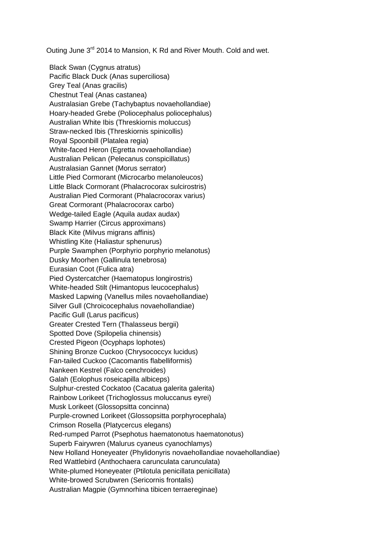Outing June 3<sup>rd</sup> 2014 to Mansion, K Rd and River Mouth. Cold and wet.

Black Swan (Cygnus atratus) Pacific Black Duck (Anas superciliosa) Grey Teal (Anas gracilis) Chestnut Teal (Anas castanea) Australasian Grebe (Tachybaptus novaehollandiae) Hoary-headed Grebe (Poliocephalus poliocephalus) Australian White Ibis (Threskiornis moluccus) Straw-necked Ibis (Threskiornis spinicollis) Royal Spoonbill (Platalea regia) White-faced Heron (Egretta novaehollandiae) Australian Pelican (Pelecanus conspicillatus) Australasian Gannet (Morus serrator) Little Pied Cormorant (Microcarbo melanoleucos) Little Black Cormorant (Phalacrocorax sulcirostris) Australian Pied Cormorant (Phalacrocorax varius) Great Cormorant (Phalacrocorax carbo) Wedge-tailed Eagle (Aquila audax audax) Swamp Harrier (Circus approximans) Black Kite (Milvus migrans affinis) Whistling Kite (Haliastur sphenurus) Purple Swamphen (Porphyrio porphyrio melanotus) Dusky Moorhen (Gallinula tenebrosa) Eurasian Coot (Fulica atra) Pied Oystercatcher (Haematopus longirostris) White-headed Stilt (Himantopus leucocephalus) Masked Lapwing (Vanellus miles novaehollandiae) Silver Gull (Chroicocephalus novaehollandiae) Pacific Gull (Larus pacificus) Greater Crested Tern (Thalasseus bergii) Spotted Dove (Spilopelia chinensis) Crested Pigeon (Ocyphaps lophotes) Shining Bronze Cuckoo (Chrysococcyx lucidus) Fan-tailed Cuckoo (Cacomantis flabelliformis) Nankeen Kestrel (Falco cenchroides) Galah (Eolophus roseicapilla albiceps) Sulphur-crested Cockatoo (Cacatua galerita galerita) Rainbow Lorikeet (Trichoglossus moluccanus eyrei) Musk Lorikeet (Glossopsitta concinna) Purple-crowned Lorikeet (Glossopsitta porphyrocephala) Crimson Rosella (Platycercus elegans) Red-rumped Parrot (Psephotus haematonotus haematonotus) Superb Fairywren (Malurus cyaneus cyanochlamys) New Holland Honeyeater (Phylidonyris novaehollandiae novaehollandiae) Red Wattlebird (Anthochaera carunculata carunculata) White-plumed Honeyeater (Ptilotula penicillata penicillata) White-browed Scrubwren (Sericornis frontalis) Australian Magpie (Gymnorhina tibicen terraereginae)